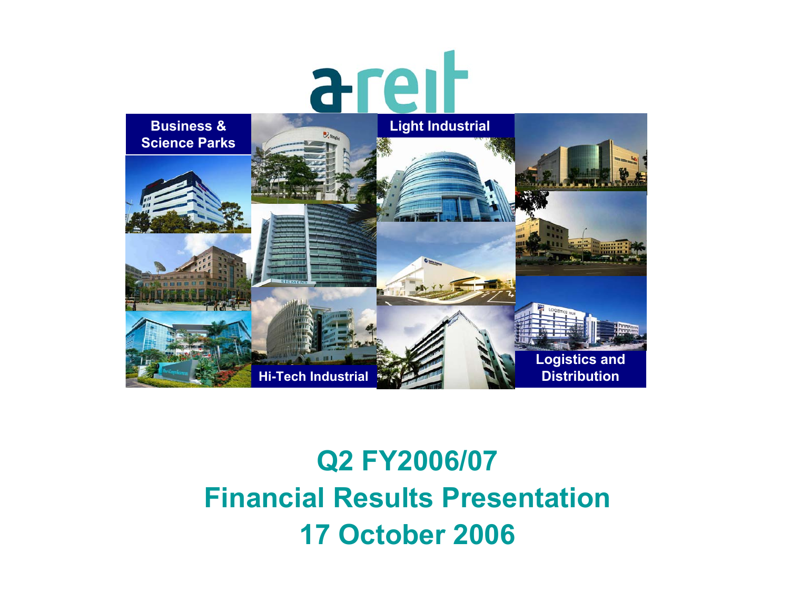



## **Q2 FY2006/07 Financial Results Presentation 17 October 2006**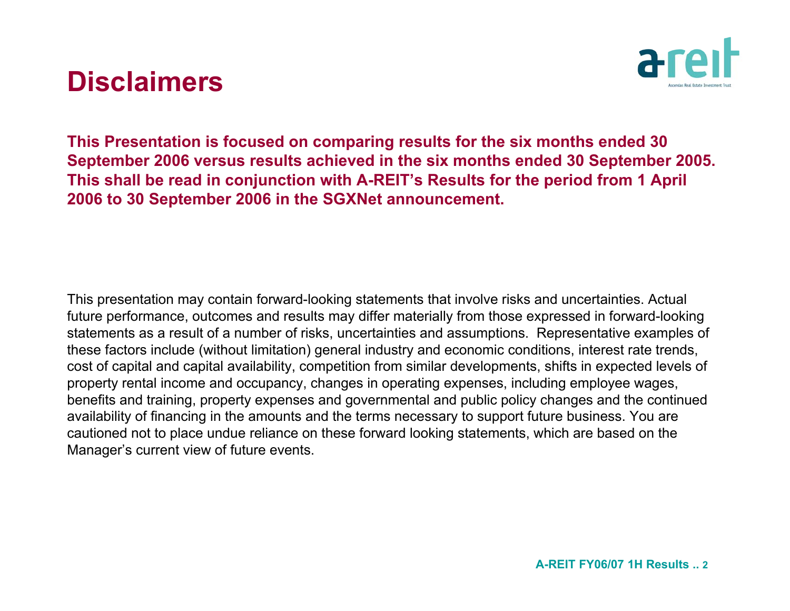### **Disclaimers**



**This Presentation is focused on comparing results for the six months ended 30 September 2006 versus results achieved in the six months ended 30 September 2005. This shall be read in conjunction with A-REIT's Results for the period from 1 April 2006 to 30 September 2006 in the SGXNet announcement.**

This presentation may contain forward-looking statements that involve risks and uncertainties. Actual future performance, outcomes and results may differ materially from those expressed in forward-looking statements as a result of a number of risks, uncertainties and assumptions. Representative examples of these factors include (without limitation) general industry and economic conditions, interest rate trends, cost of capital and capital availability, competition from similar developments, shifts in expected levels of property rental income and occupancy, changes in operating expenses, including employee wages, benefits and training, property expenses and governmental and public policy changes and the continued availability of financing in the amounts and the terms necessary to support future business. You are cautioned not to place undue reliance on these forward looking statements, which are based on the Manager's current view of future events.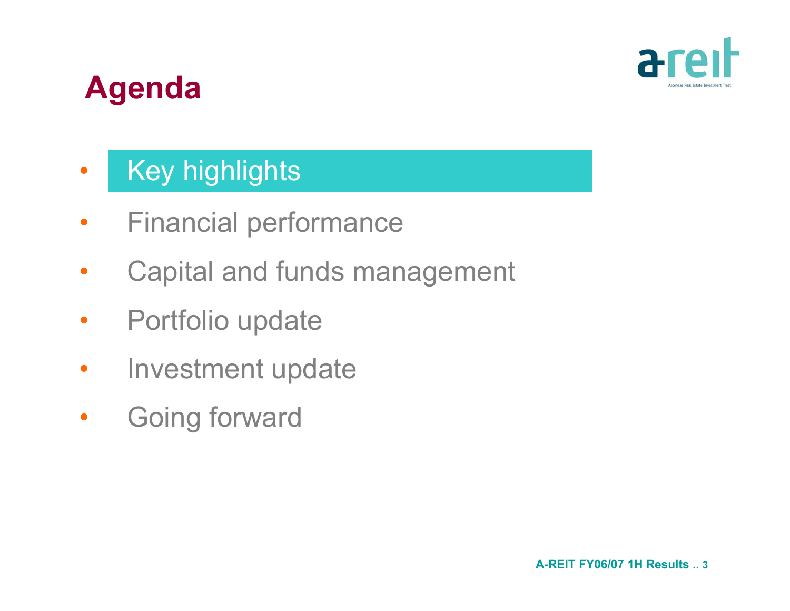

## **Agenda**

### $\bullet$ Key highlights

- •Financial performance
- $\bullet$ Capital and funds management
- $\bullet$ Portfolio update
- $\bullet$ Investment update
- $\bullet$ Going forward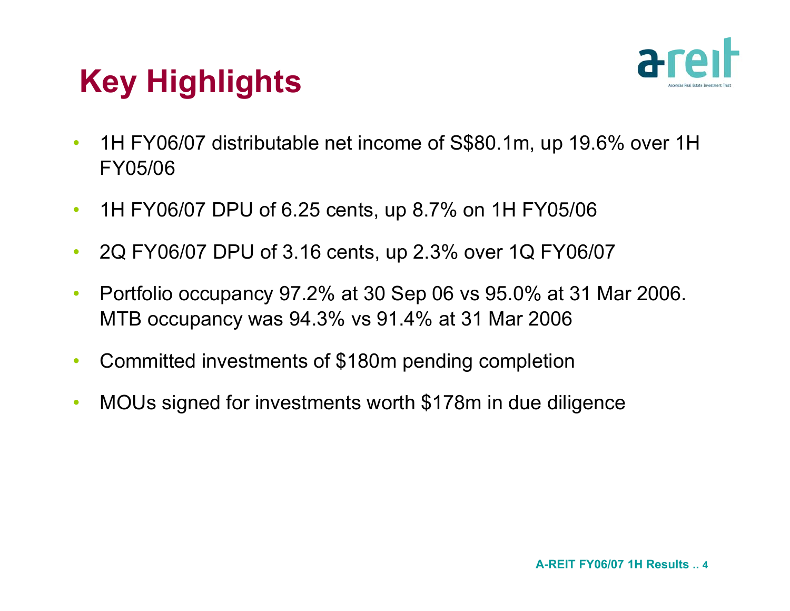

# **Key Highlights**

- $\bullet$  1H FY06/07 distributable net income of S\$80.1m, up 19.6% over 1H FY05/06
- $\bullet$ 1H FY06/07 DPU of 6.25 cents, up 8.7% on 1H FY05/06
- $\bullet$ 2Q FY06/07 DPU of 3.16 cents, up 2.3% over 1Q FY06/07
- $\bullet$  Portfolio occupancy 97.2% at 30 Sep 06 vs 95.0% at 31 Mar 2006. MTB occupancy was 94.3% vs 91.4% at 31 Mar 2006
- $\bullet$ Committed investments of \$180m pending completion
- $\bullet$ MOUs signed for investments worth \$178m in due diligence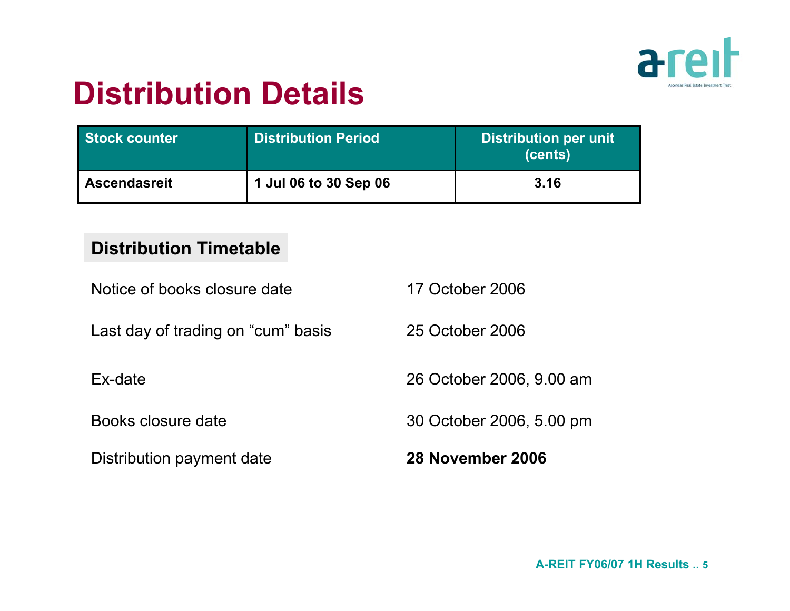

## **Distribution Details**

| <b>Stock counter</b> | <b>Distribution Period</b> | <b>Distribution per unit</b><br>(cents) |
|----------------------|----------------------------|-----------------------------------------|
| <b>Ascendasreit</b>  | 1 Jul 06 to 30 Sep 06      | 3.16                                    |

### **Distribution Timetable**

Notice of books closure date

Last day of trading on "cum" basis 25 October 2006

Ex-date

Books closure date

Distribution payment date **28 November 2006**

17 October 2006

26 October 2006, 9.00 am

30 October 2006, 5.00 pm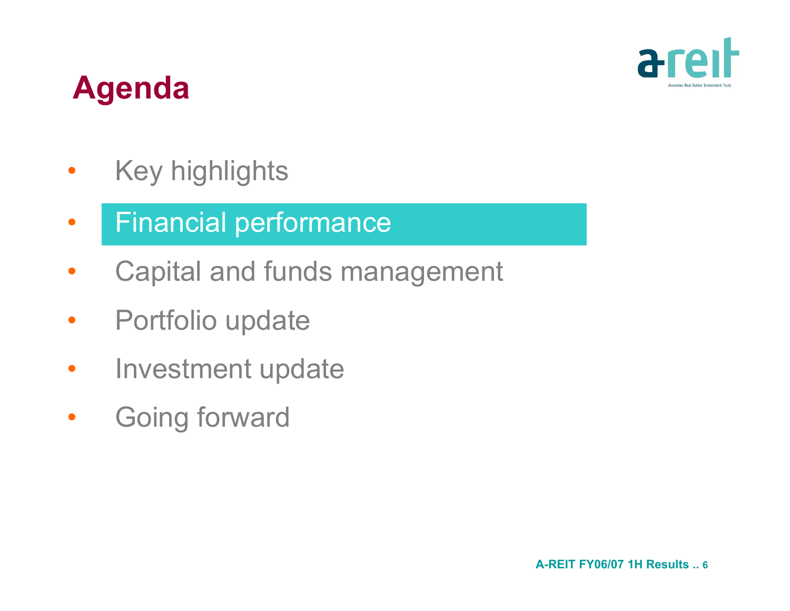

## **Agenda**

- $\bullet$ Key highlights
- •Financial performance
- $\bullet$ Capital and funds management
- $\bullet$ Portfolio update
- $\bullet$ Investment update
- $\bullet$ Going forward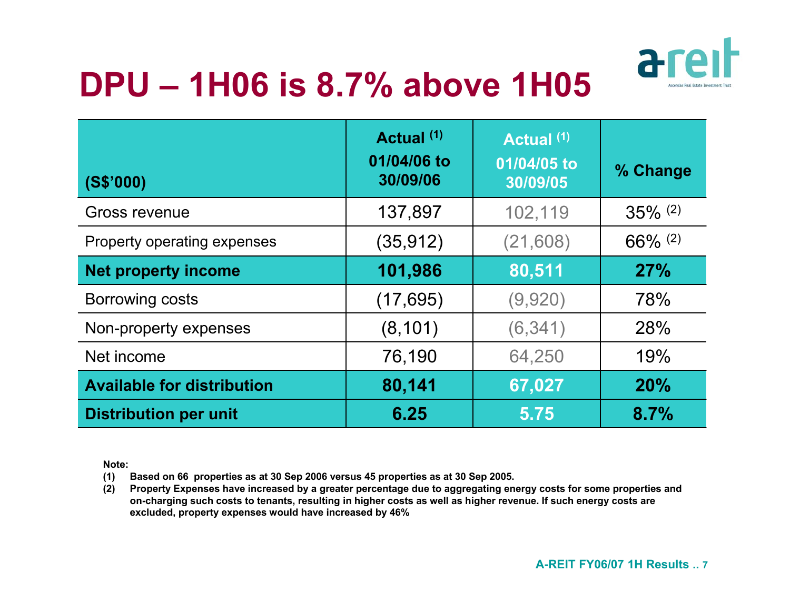# **DPU – 1H06 is 8.7% above 1H05**



| (S\$'000)                         | Actual (1)<br>01/04/06 to<br>30/09/06 | Actual (1)<br>01/04/05 to<br>30/09/05 | % Change   |
|-----------------------------------|---------------------------------------|---------------------------------------|------------|
| Gross revenue                     | 137,897                               | 102,119                               | $35\%$ (2) |
| Property operating expenses       | (35,912)                              | (21,608)                              | $66\%$ (2) |
| <b>Net property income</b>        | 101,986                               | 80,511                                | 27%        |
| Borrowing costs                   | (17, 695)                             | (9,920)                               | 78%        |
| Non-property expenses             | (8, 101)                              | (6, 341)                              | 28%        |
| Net income                        | 76,190                                | 64,250                                | 19%        |
| <b>Available for distribution</b> | 80,141                                | 67,027                                | 20%        |
| <b>Distribution per unit</b>      | 6.25                                  | 5.75                                  | 8.7%       |

**Note:**

- **(1) Based on 66 properties as at 30 Sep 2006 versus 45 properties as at 30 Sep 2005.**
- **(2) Property Expenses have increased by a greater percentage due to aggregating energy costs for some properties and on-charging such costs to tenants, resulting in higher costs as well as higher revenue. If such energy costs are excluded, property expenses would have increased by 46%**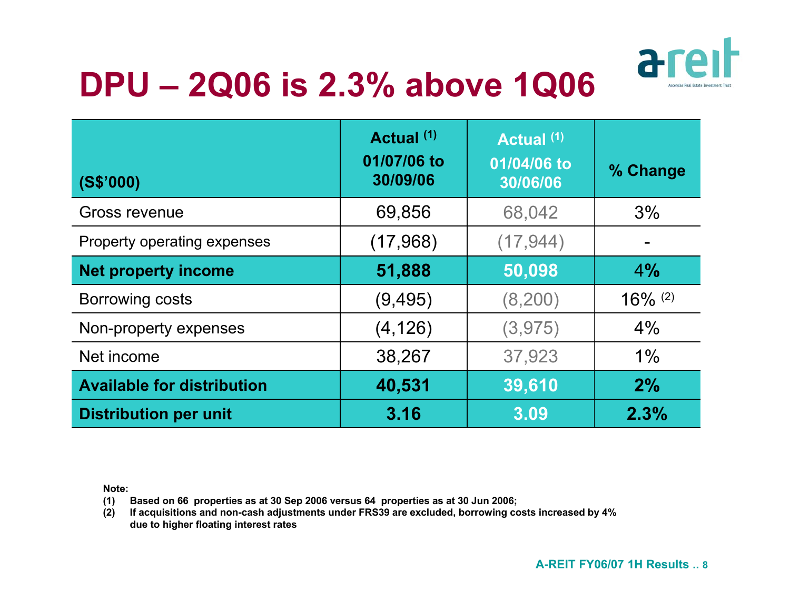# **DPU – 2Q06 is 2.3% above 1Q06**



| (S\$'000)                         | Actual (1)<br>01/07/06 to<br>30/09/06 | Actual (1)<br>01/04/06 to<br>30/06/06 | % Change   |
|-----------------------------------|---------------------------------------|---------------------------------------|------------|
| Gross revenue                     | 69,856                                | 68,042                                | 3%         |
| Property operating expenses       | (17,968)                              | (17, 944)                             |            |
| <b>Net property income</b>        | 51,888                                | 50,098                                | 4%         |
| <b>Borrowing costs</b>            | (9, 495)                              | (8,200)                               | $16\%$ (2) |
| Non-property expenses             | (4, 126)                              | (3,975)                               | 4%         |
| Net income                        | 38,267                                | 37,923                                | $1\%$      |
| <b>Available for distribution</b> | 40,531                                | 39,610                                | 2%         |
| <b>Distribution per unit</b>      | 3.16                                  | 3.09                                  | 2.3%       |

**Note:**

- **(1) Based on 66 properties as at 30 Sep 2006 versus 64 properties as at 30 Jun 2006;**
- **(2) If acquisitions and non-cash adjustments under FRS39 are excluded, borrowing costs increased by 4% due to higher floating interest rates**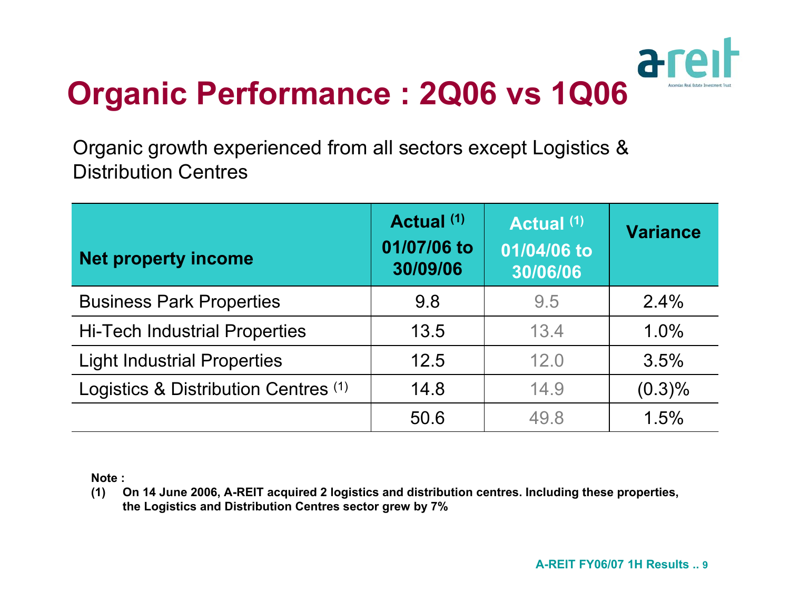

Organic growth experienced from all sectors except Logistics & Distribution Centres

| <b>Net property income</b>           | Actual (1)<br>01/07/06 to<br>30/09/06 | Actual (1)<br>01/04/06 to<br>30/06/06 | <b>Variance</b> |
|--------------------------------------|---------------------------------------|---------------------------------------|-----------------|
| <b>Business Park Properties</b>      | 9.8                                   | 9.5                                   | 2.4%            |
| <b>Hi-Tech Industrial Properties</b> | 13.5                                  | 13.4                                  | 1.0%            |
| <b>Light Industrial Properties</b>   | 12.5                                  | 12.0                                  | 3.5%            |
| Logistics & Distribution Centres (1) | 14.8                                  | 14.9                                  | $(0.3)\%$       |
|                                      | 50.6                                  | 49.8                                  | 1.5%            |

**Note :**

**(1) On 14 June 2006, A-REIT acquired 2 logistics and distribution centres. Including these properties, the Logistics and Distribution Centres sector grew by 7%**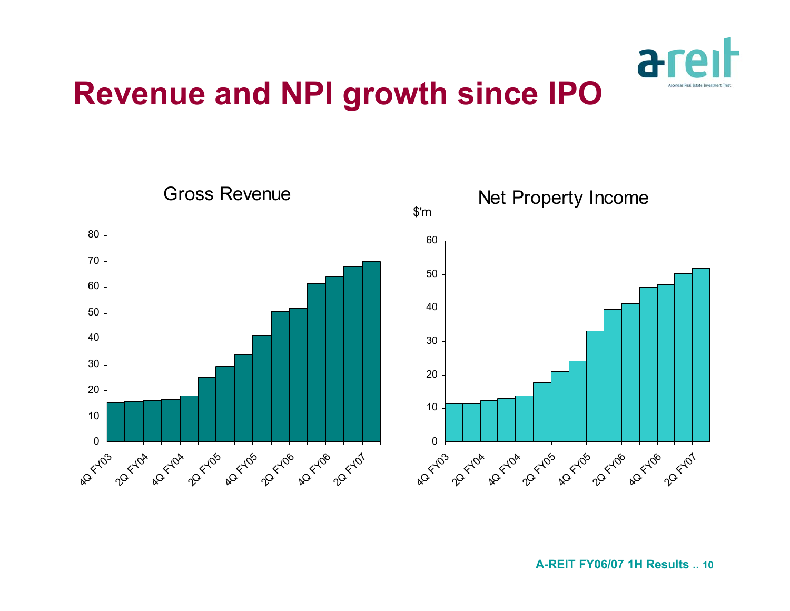

## **Revenue and NPI growth since IPO**

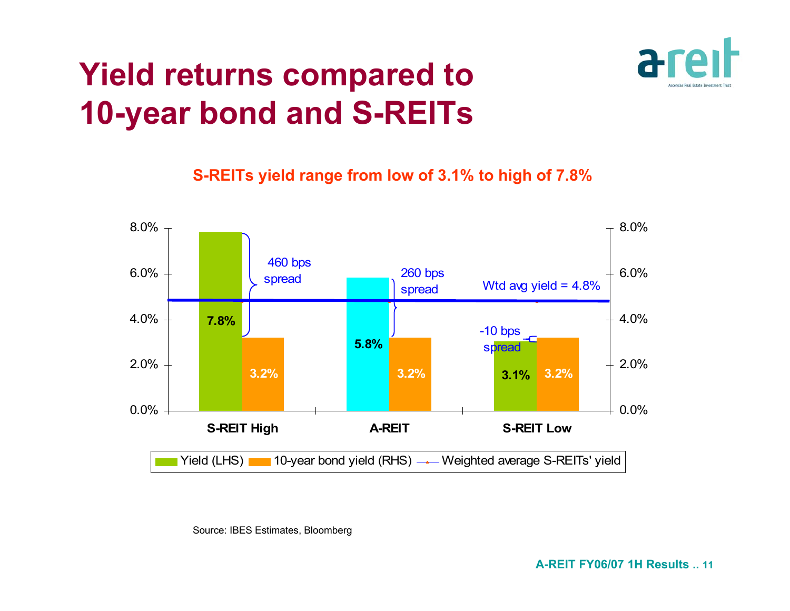## **Yield returns compared to 10-year bond and S-REITs**



**S-REITs yield range from low of 3.1% to high of 7.8%**



Source: IBES Estimates, Bloomberg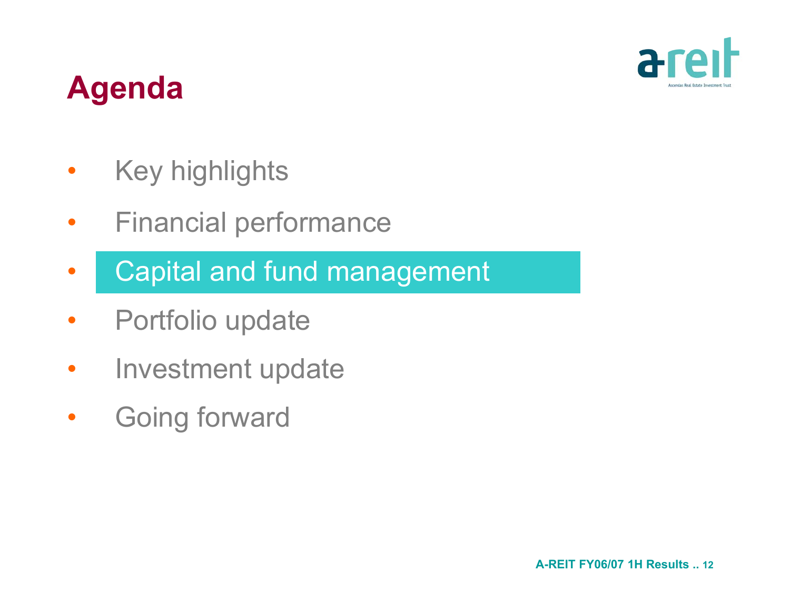

## **Agenda**

- $\bullet$ Key highlights
- •Financial performance
- $\bullet$ Capital and fund management
- $\bullet$ Portfolio update
- $\bullet$ Investment update
- $\bullet$ Going forward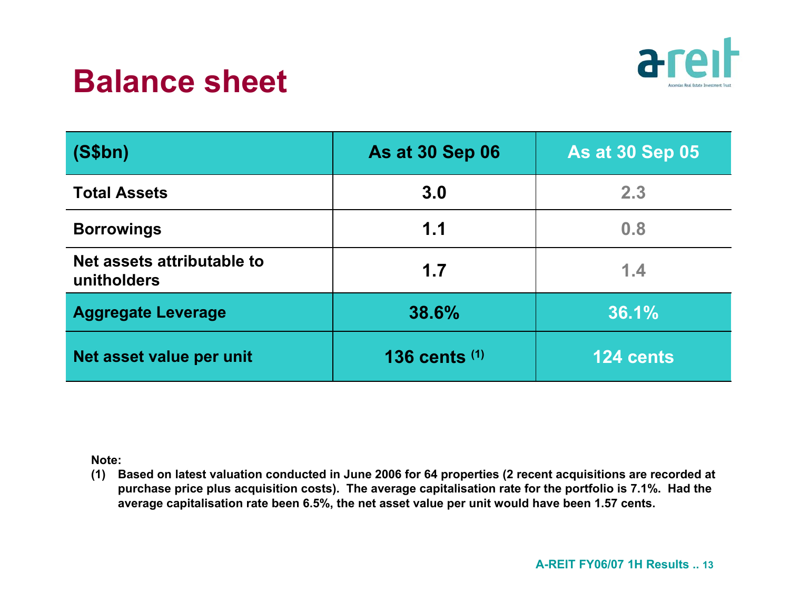## **Balance sheet**



| (S\$bh)                                   | <b>As at 30 Sep 06</b> | <b>As at 30 Sep 05</b> |
|-------------------------------------------|------------------------|------------------------|
| <b>Total Assets</b>                       | 3.0                    | 2.3                    |
| <b>Borrowings</b>                         | 1.1                    | 0.8                    |
| Net assets attributable to<br>unitholders | 1.7                    | 1.4                    |
| <b>Aggregate Leverage</b>                 | 38.6%                  | 36.1%                  |
| Net asset value per unit                  | <b>136 cents (1)</b>   | 124 cents              |

**Note:**

**(1) Based on latest valuation conducted in June 2006 for 64 properties (2 recent acquisitions are recorded at purchase price plus acquisition costs). The average capitalisation rate for the portfolio is 7.1%. Had the average capitalisation rate been 6.5%, the net asset value per unit would have been 1.57 cents.**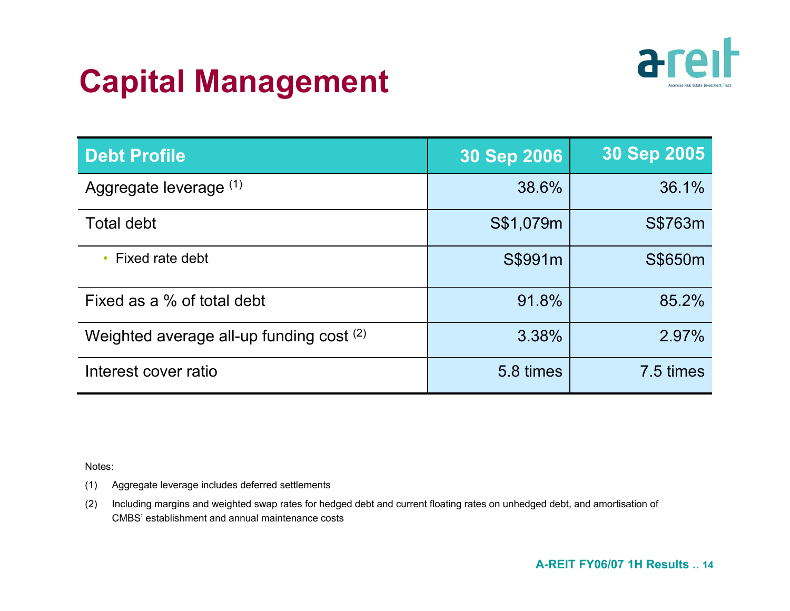# **Capital Management**



| <b>Debt Profile</b>                      | 30 Sep 2006 | 30 Sep 2005 |
|------------------------------------------|-------------|-------------|
| Aggregate leverage (1)                   | 38.6%       | 36.1%       |
| <b>Total debt</b>                        | S\$1,079m   | S\$763m     |
| Fixed rate debt<br>$\bullet$             | S\$991m     | S\$650m     |
| Fixed as a % of total debt               | 91.8%       | 85.2%       |
| Weighted average all-up funding cost (2) | 3.38%       | 2.97%       |
| Interest cover ratio                     | 5.8 times   | 7.5 times   |

Notes:

- (1) Aggregate leverage includes deferred settlements
- (2) Including margins and weighted swap rates for hedged debt and current floating rates on unhedged debt, and amortisation of CMBS' establishment and annual maintenance costs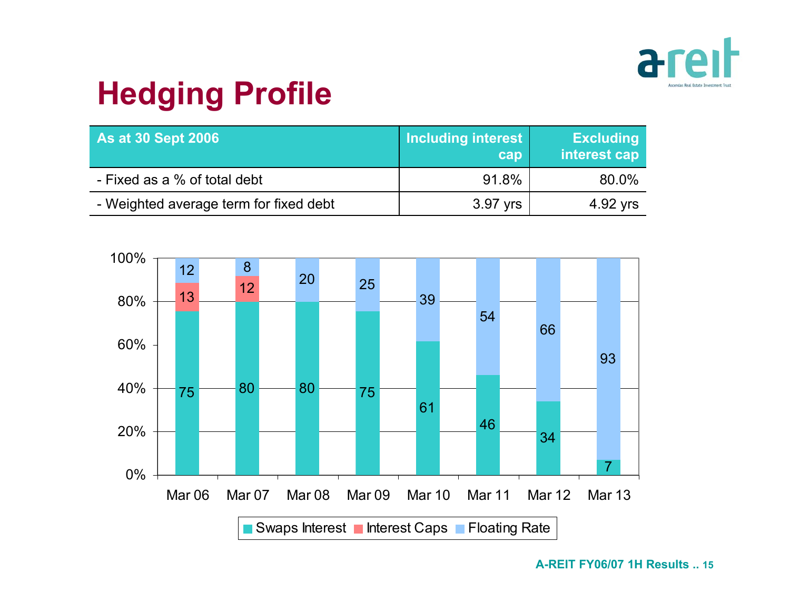

# **Hedging Profile**

| <b>As at 30 Sept 2006</b>              | <b>Including interest</b><br>cap | <b>Excluding</b><br>interest cap |
|----------------------------------------|----------------------------------|----------------------------------|
| - Fixed as a % of total debt           | 91.8%                            | 80.0%                            |
| - Weighted average term for fixed debt | 3.97 yrs                         | 4.92 yrs                         |

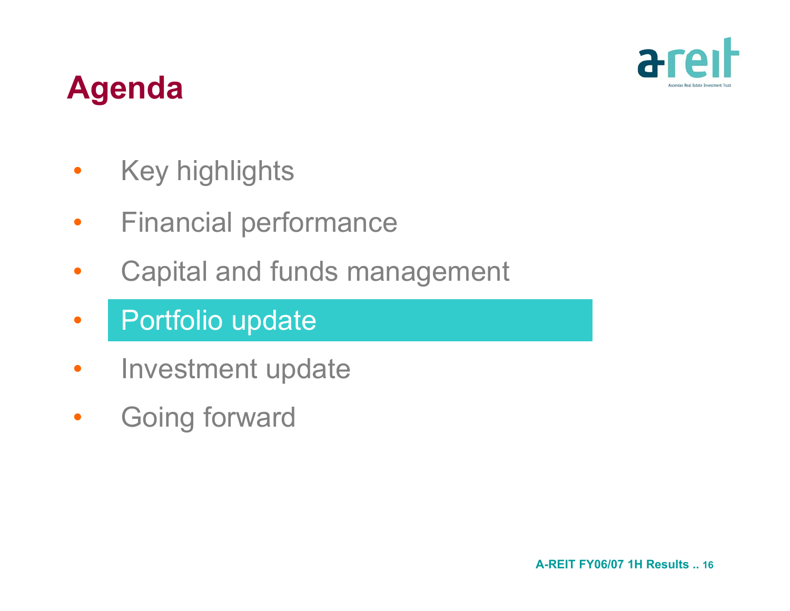

## **Agenda**

- $\bullet$ Key highlights
- $\bullet$ Financial performance
- $\bullet$ Capital and funds management
- $\bullet$ Portfolio update
- $\bullet$ Investment update
- $\bullet$ Going forward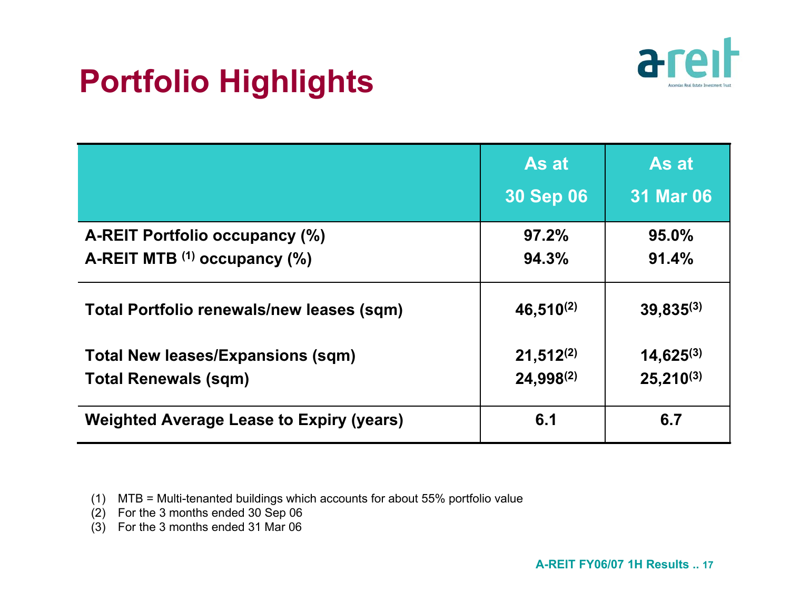# **Portfolio Highlights**



|                                                 | As at<br><b>30 Sep 06</b> | As at<br><b>31 Mar 06</b> |
|-------------------------------------------------|---------------------------|---------------------------|
| A-REIT Portfolio occupancy (%)                  | 97.2%                     | $95.0\%$                  |
| A-REIT MTB (1) occupancy (%)                    | 94.3%                     | 91.4%                     |
| Total Portfolio renewals/new leases (sqm)       | $46,510^{(2)}$            | $39,835^{(3)}$            |
| <b>Total New leases/Expansions (sqm)</b>        | $21,512^{(2)}$            | $14,625^{(3)}$            |
| <b>Total Renewals (sqm)</b>                     | $24,998^{(2)}$            | $25,210^{(3)}$            |
| <b>Weighted Average Lease to Expiry (years)</b> | 6.1                       | 6.7                       |

- (1) MTB = Multi-tenanted buildings which accounts for about 55% portfolio value
- (2) For the 3 months ended 30 Sep 06
- (3) For the 3 months ended 31 Mar 06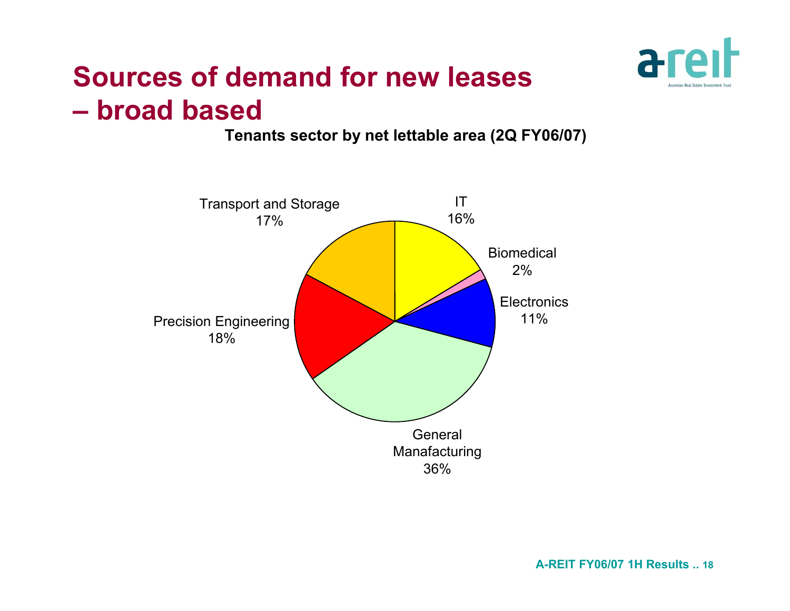

## **Sources of demand for new leases – broad based**

### **Tenants sector by net lettable area (2Q FY06/07)**

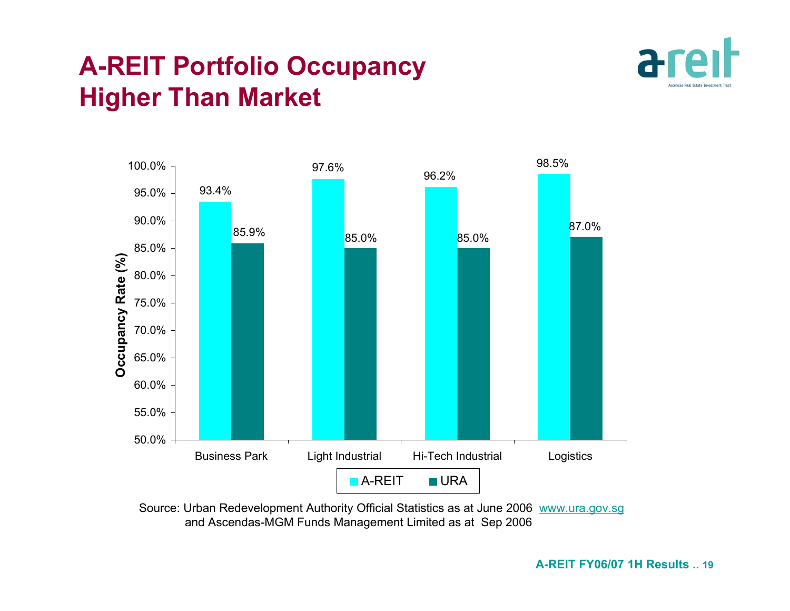### **A-REIT Portfolio Occupancy Higher Than Market**





Source: Urban Redevelopment Authority Official Statistics as at June 2006 www.ura.gov.sg and Ascendas-MGM Funds Management Limited as at Sep 2006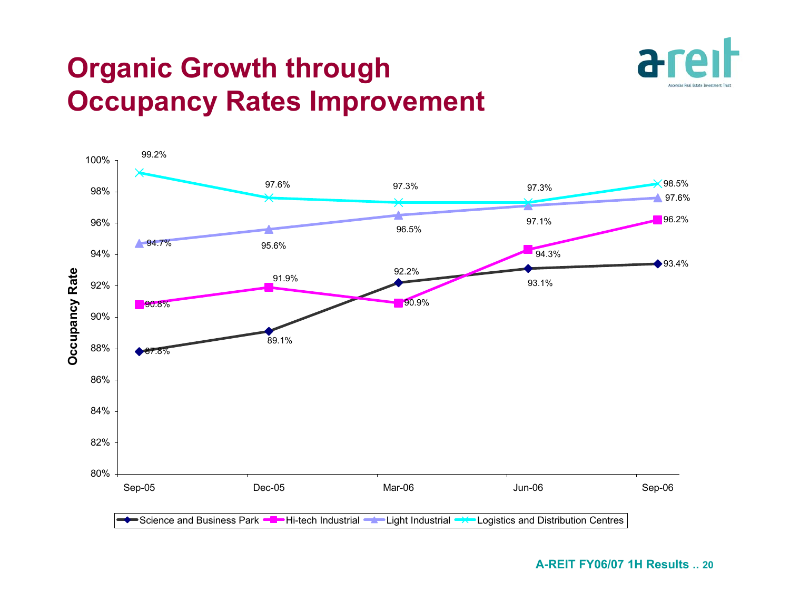### **Organic Growth through Occupancy Rates Improvement**



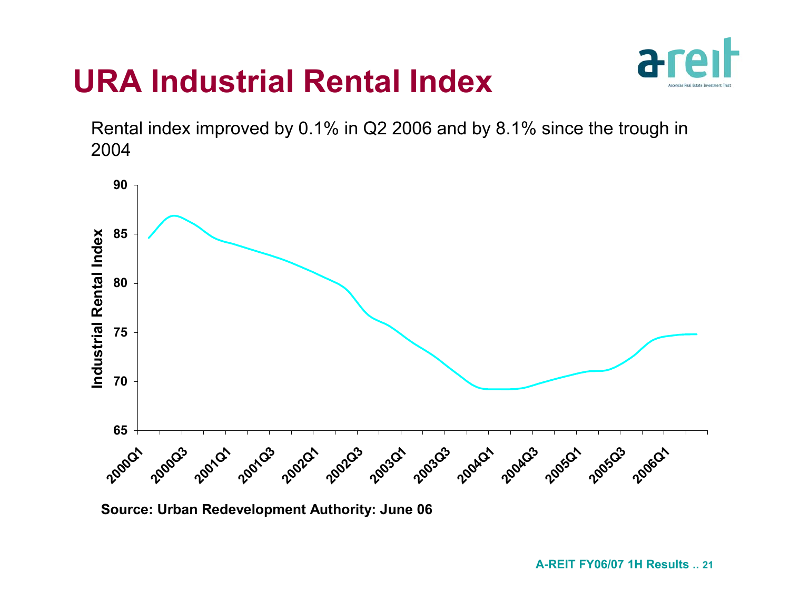## **URA Industrial Rental Index**

Rental index improved by 0.1% in Q2 2006 and by 8.1% since the trough in 2004



**Source: Urban Redevelopment Authority: June 06**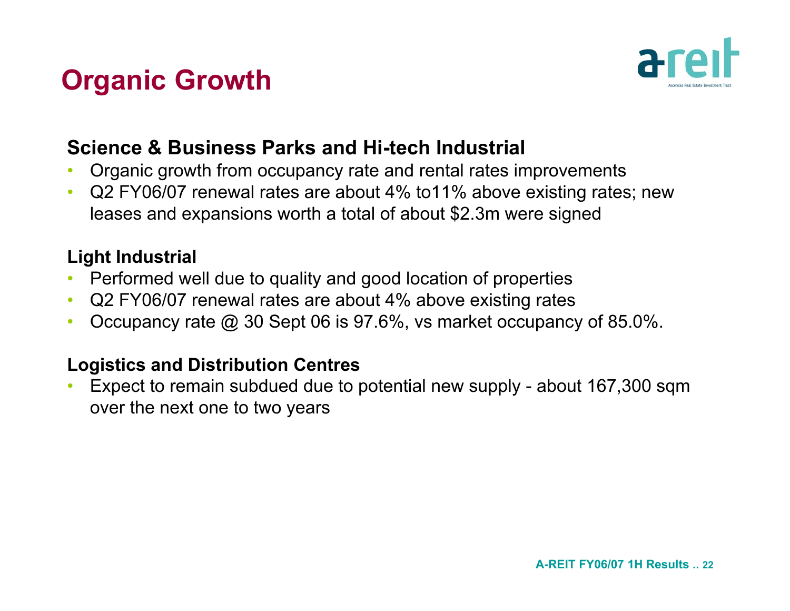## **Organic Growth**



### **Science & Business Parks and Hi-tech Industrial**

- •Organic growth from occupancy rate and rental rates improvements
- $\bullet$  Q2 FY06/07 renewal rates are about 4% to11% above existing rates; new leases and expansions worth a total of about \$2.3m were signed

### **Light Industrial**

- •Performed well due to quality and good location of properties
- $\bullet$ Q2 FY06/07 renewal rates are about 4% above existing rates
- $\bullet$ Occupancy rate @ 30 Sept 06 is 97.6%, vs market occupancy of 85.0%.

### **Logistics and Distribution Centres**

• Expect to remain subdued due to potential new supply - about 167,300 sqm over the next one to two years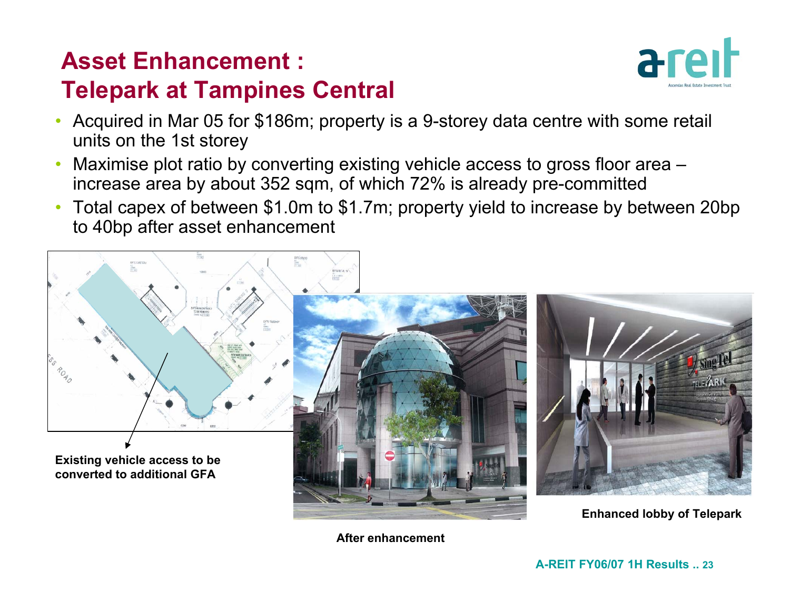### **Asset Enhancement : Telepark at Tampines Central**

- 
- • Acquired in Mar 05 for \$186m; property is a 9-storey data centre with some retail units on the 1st storey
- • Maximise plot ratio by converting existing vehicle access to gross floor area – increase area by about 352 sqm, of which 72% is already pre-committed
- • Total capex of between \$1.0m to \$1.7m; property yield to increase by between 20bp to 40bp after asset enhancement



**After enhancement**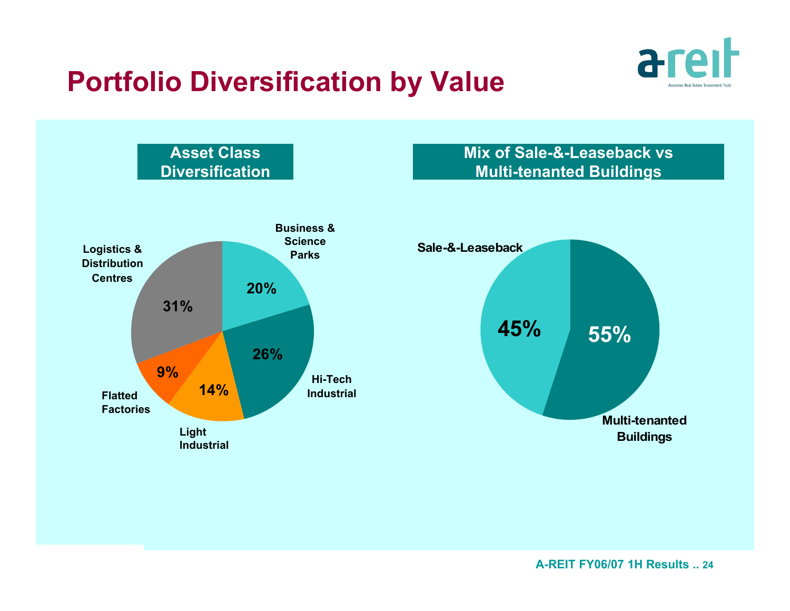### **Portfolio Diversification by Value**



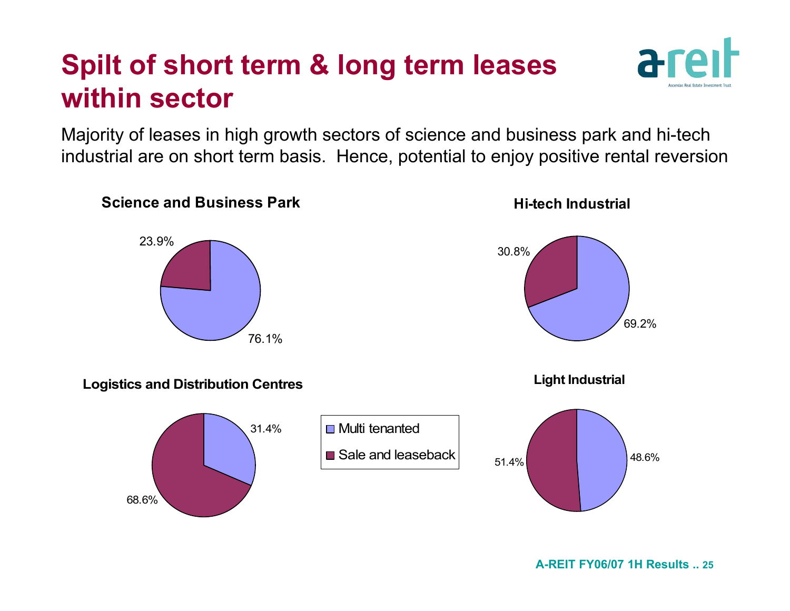## **Spilt of short term & long term leases within sector**

Majority of leases in high growth sectors of science and business park and hi-tech industrial are on short term basis. Hence, potential to enjoy positive rental reversion

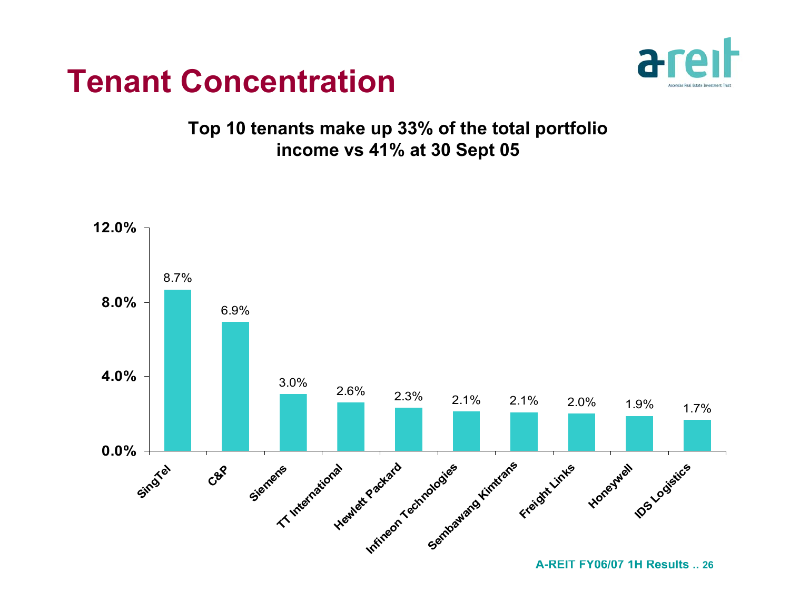## **Tenant Concentration**



### **Top 10 tenants make up 33% of the total portfolio income vs 41% at 30 Sept 05**

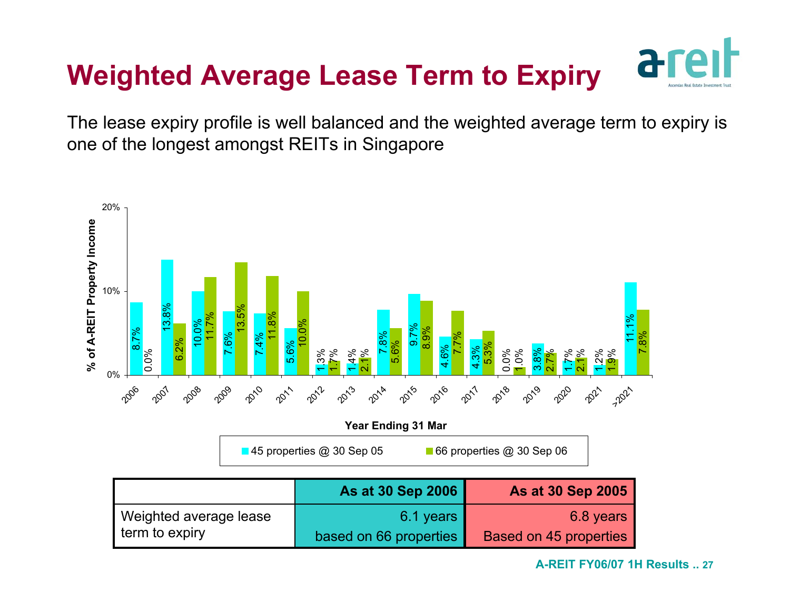## **Weighted Average Lease Term to Expiry**

The lease expiry profile is well balanced and the weighted average term to expiry is one of the longest amongst REITs in Singapore

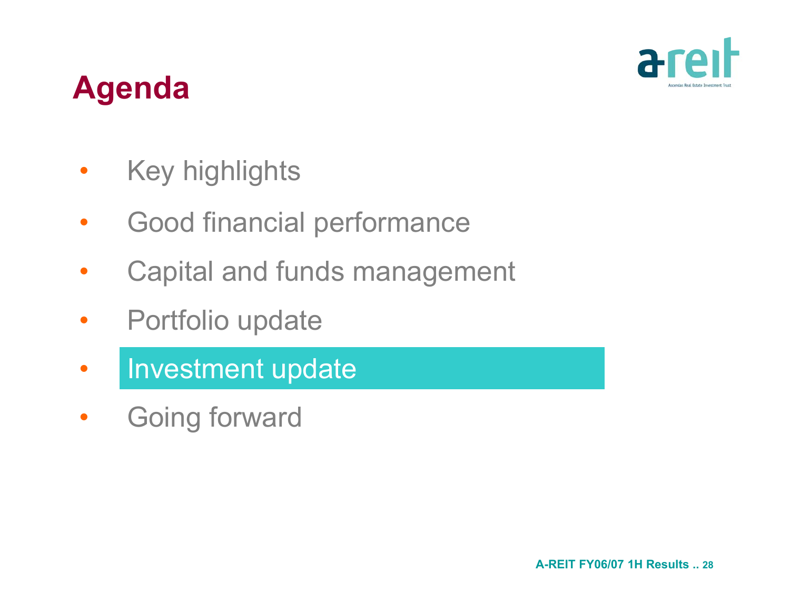

## **Agenda**

- $\bullet$ Key highlights
- $\bullet$ Good financial performance
- $\bullet$ Capital and funds management
- $\bullet$ Portfolio update
- $\bullet$ Investment update
- $\bullet$ Going forward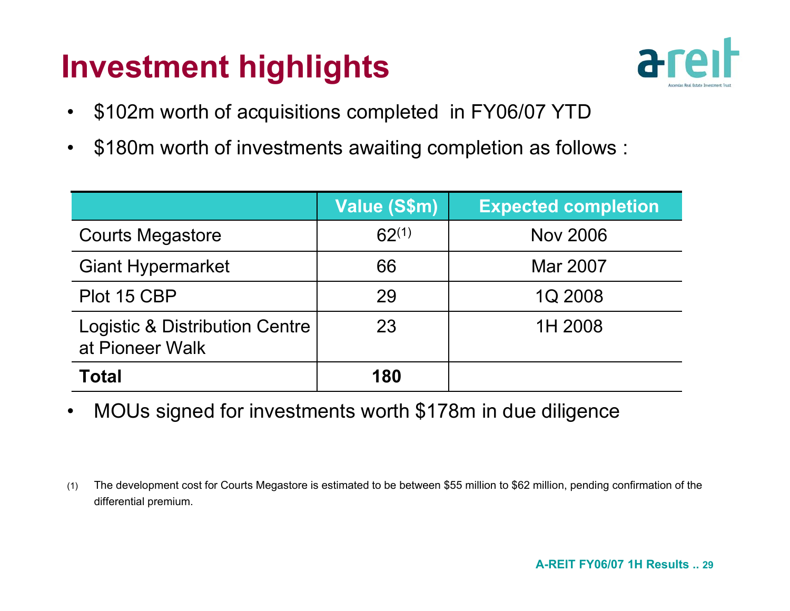## **Investment highlights**



- •\$102m worth of acquisitions completed in FY06/07 YTD
- •\$180m worth of investments awaiting completion as follows :

|                                                   | Value (S\$m) | <b>Expected completion</b> |
|---------------------------------------------------|--------------|----------------------------|
| <b>Courts Megastore</b>                           | $62^{(1)}$   | <b>Nov 2006</b>            |
| <b>Giant Hypermarket</b>                          | 66           | Mar 2007                   |
| Plot 15 CBP                                       | 29           | 1Q 2008                    |
| Logistic & Distribution Centre<br>at Pioneer Walk | 23           | 1H 2008                    |
| <b>Total</b>                                      | 180          |                            |

•MOUs signed for investments worth \$178m in due diligence

(1) The development cost for Courts Megastore is estimated to be between \$55 million to \$62 million, pending confirmation of the differential premium.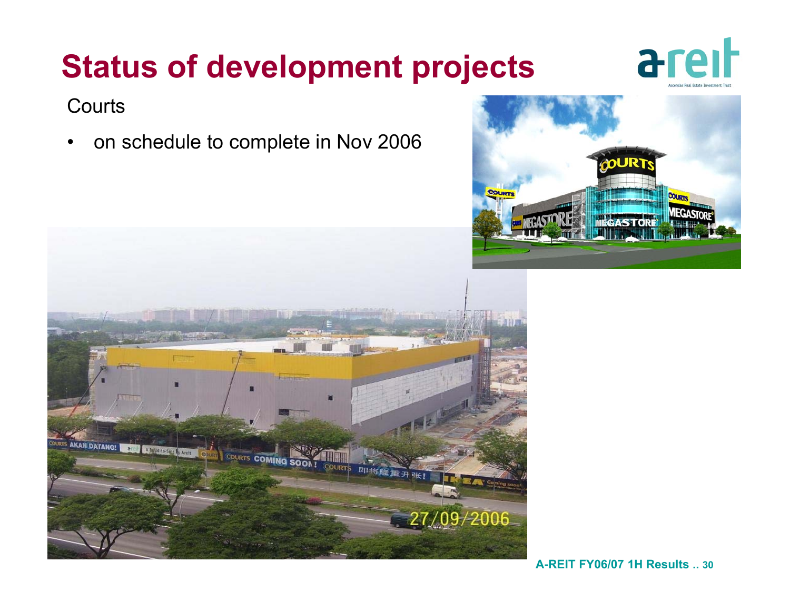# **Status of development projects**



Courts

•on schedule to complete in Nov 2006



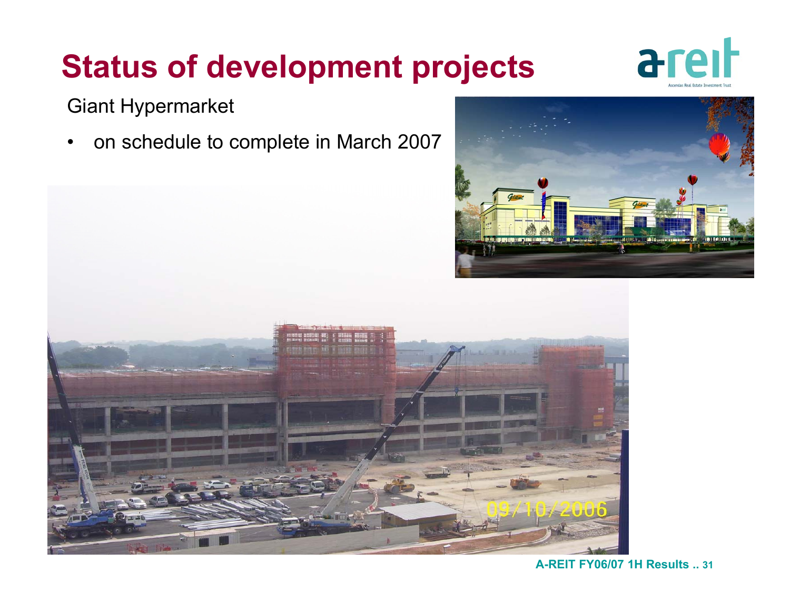# **Status of development projects**



Giant Hypermarket

•on schedule to complete in March 2007



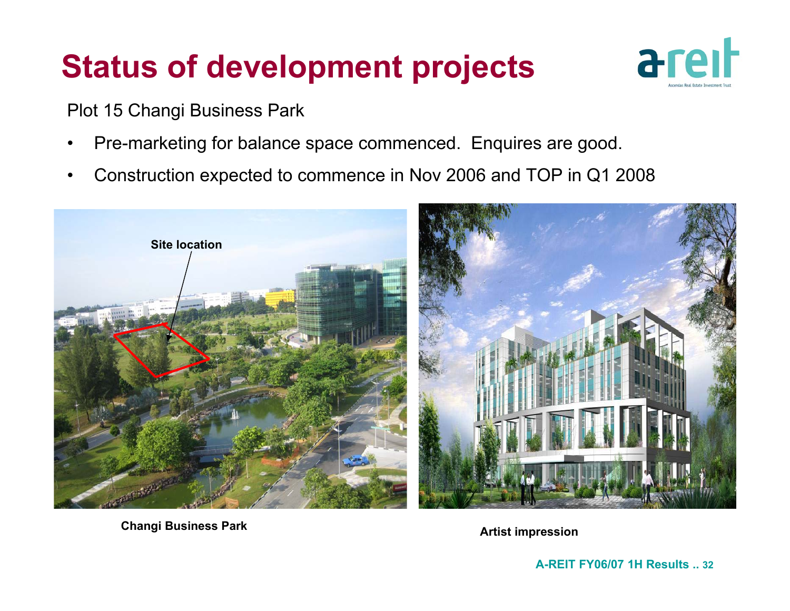# **Status of development projects**



Plot 15 Changi Business Park

- •Pre-marketing for balance space commenced. Enquires are good.
- •Construction expected to commence in Nov 2006 and TOP in Q1 2008



**Artist impression Changi Business Park**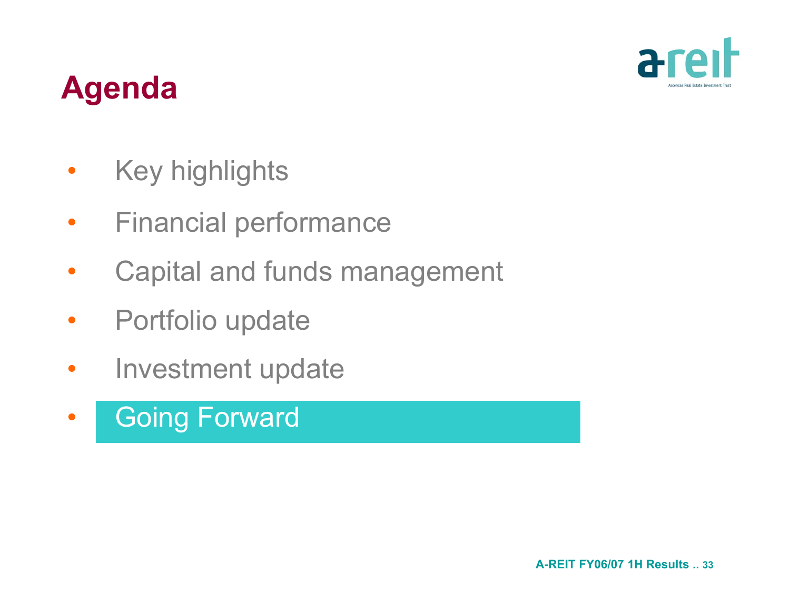

## **Agenda**

- $\bullet$ Key highlights
- $\bullet$ Financial performance
- •Capital and funds management
- $\bullet$ Portfolio update
- •Investment update
- $\bullet$ Going Forward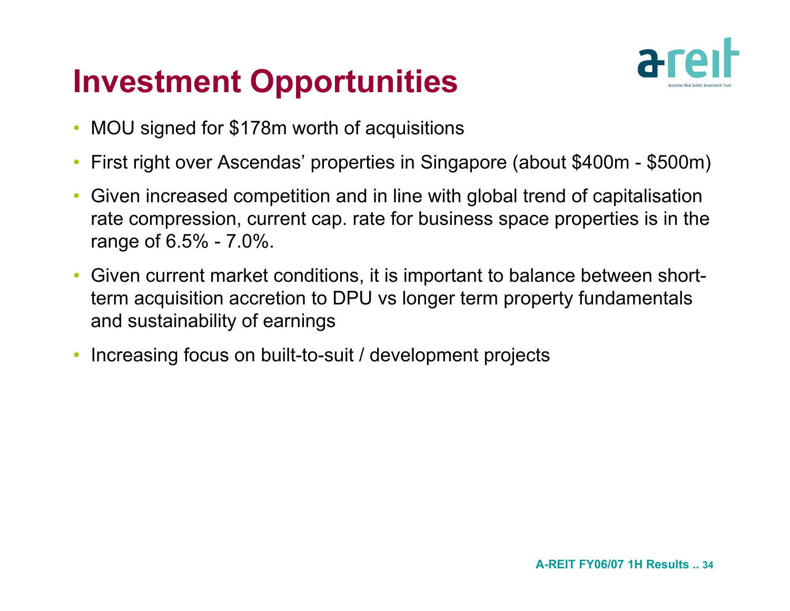## **Investment Opportunities**



- $\bullet$ MOU signed for \$178m worth of acquisitions
- •First right over Ascendas' properties in Singapore (about \$400m - \$500m)
- • Given increased competition and in line with global trend of capitalisation rate compression, current cap. rate for business space properties is in the range of 6.5% - 7.0%.
- • Given current market conditions, it is important to balance between shortterm acquisition accretion to DPU vs longer term property fundamentals and sustainability of earnings
- •Increasing focus on built-to-suit / development projects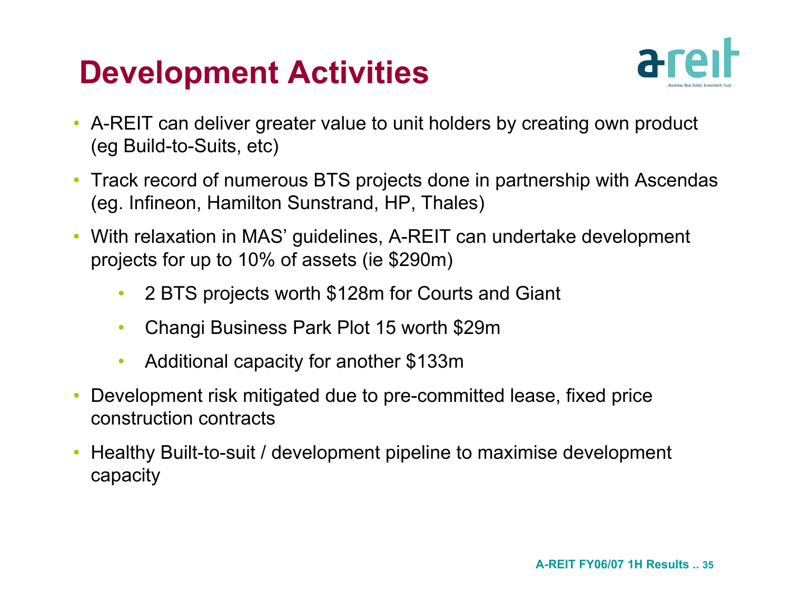## **Development Activities**



- • A-REIT can deliver greater value to unit holders by creating own product (eg Build-to-Suits, etc)
- • Track record of numerous BTS projects done in partnership with Ascendas (eg. Infineon, Hamilton Sunstrand, HP, Thales)
- • With relaxation in MAS' guidelines, A-REIT can undertake development projects for up to 10% of assets (ie \$290m)
	- $\bullet$ 2 BTS projects worth \$128m for Courts and Giant
	- •Changi Business Park Plot 15 worth \$29m
	- $\bullet$ Additional capacity for another \$133m
- • Development risk mitigated due to pre-committed lease, fixed price construction contracts
- • Healthy Built-to-suit / development pipeline to maximise development capacity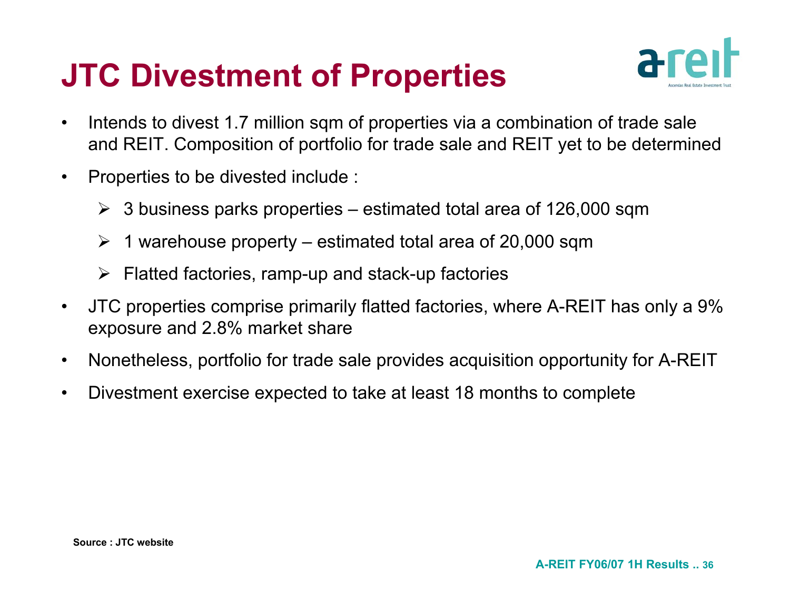# **JTC Divestment of Properties**



- • Intends to divest 1.7 million sqm of properties via a combination of trade sale and REIT. Composition of portfolio for trade sale and REIT yet to be determined
- • Properties to be divested include :
	- $\triangleright$  3 business parks properties estimated total area of 126,000 sqm
	- $\geq 1$  warehouse property estimated total area of 20,000 sqm
	- $\triangleright$  Flatted factories, ramp-up and stack-up factories
- • JTC properties comprise primarily flatted factories, where A-REIT has only a 9% exposure and 2.8% market share
- •Nonetheless, portfolio for trade sale provides acquisition opportunity for A-REIT
- •Divestment exercise expected to take at least 18 months to complete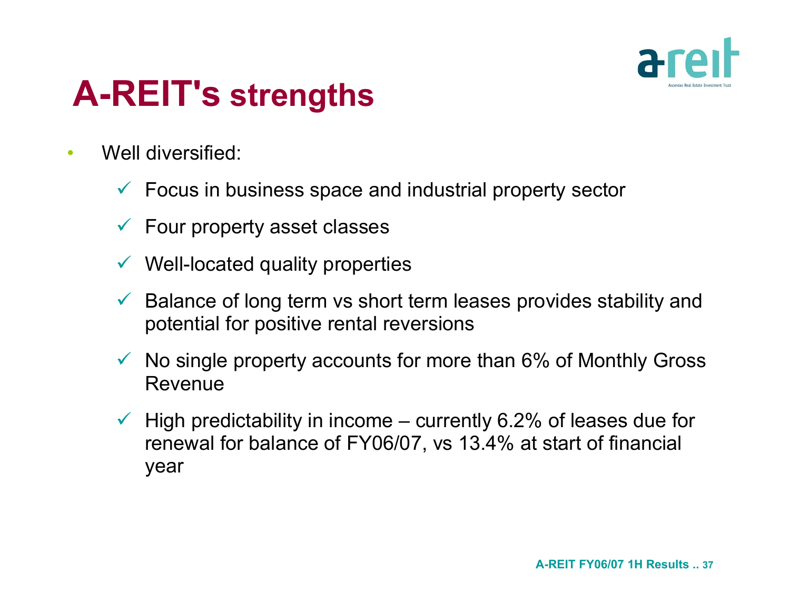

# **A-REIT's strengths**

- $\bullet$ Well diversified:
	- $\checkmark$  Focus in business space and industrial property sector
	- $\checkmark$  Four property asset classes
	- $\checkmark$  Well-located quality properties
	- $\checkmark$  Balance of long term vs short term leases provides stability and potential for positive rental reversions
	- $\checkmark$  No single property accounts for more than 6% of Monthly Gross Revenue
	- $\checkmark$  High predictability in income currently 6.2% of leases due for renewal for balance of FY06/07, vs 13.4% at start of financial year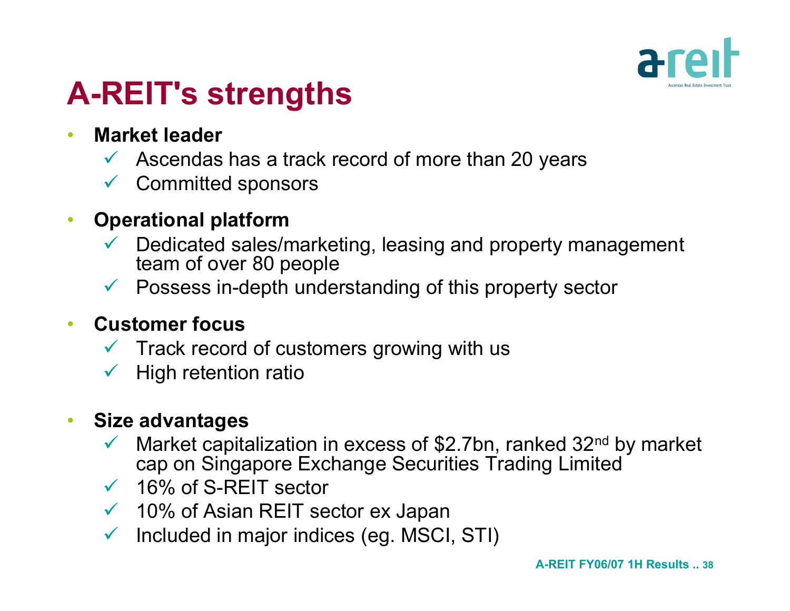

## **A-REIT's strengths**

- • **Market leader**
	- $\checkmark$  Ascendas has a track record of more than 20 years
	- $\checkmark$ Committed sponsors

#### $\bullet$ **Operational platform**

- $\checkmark$  Dedicated sales/marketing, leasing and property management team of over 80 people
- $\checkmark$ Possess in-depth understanding of this property sector

#### $\bullet$ **Customer focus**

- $\checkmark$  Track record of customers growing with us
- $\sqrt{ }$ High retention ratio

#### $\bullet$ **Size advantages**

- $\checkmark$  Market capitalization in excess of \$2.7bn, ranked 32<sup>nd</sup> by market cap on Singapore Exchange Securities Trading Limited
- $\checkmark$  16% of S-REIT sector
- $\checkmark$  10% of Asian REIT sector ex Japan
- $\sqrt{ }$ Included in major indices (eg. MSCI, STI)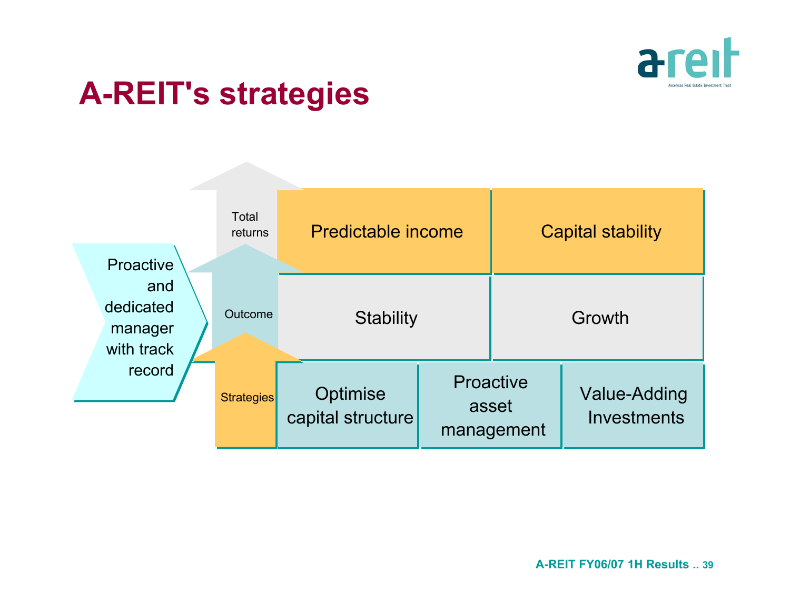

## **A-REIT's strategies**